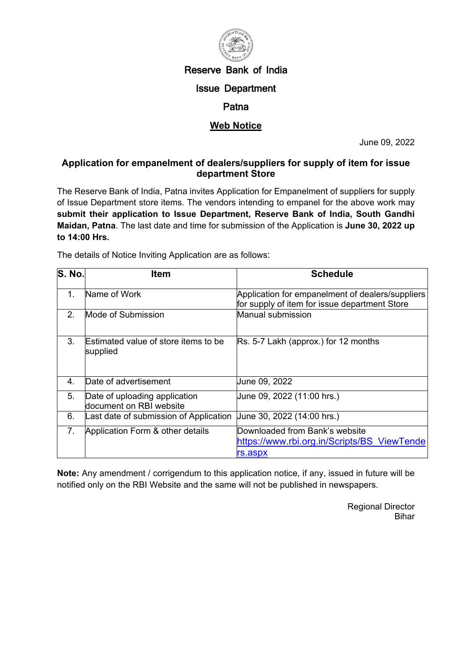

# Reserve Bank of India

### Issue Department

### **Patna**

## **Web Notice**

June 09, 2022

### **Application for empanelment of dealers/suppliers for supply of item for issue department Store**

The Reserve Bank of India, Patna invites Application for Empanelment of suppliers for supply of Issue Department store items. The vendors intending to empanel for the above work may **submit their application to Issue Department, Reserve Bank of India, South Gandhi Maidan, Patna**. The last date and time for submission of the Application is **June 30, 2022 up to 14:00 Hrs.**

The details of Notice Inviting Application are as follows:

| S. No.         | ltem                                                     | <b>Schedule</b>                                                                                   |
|----------------|----------------------------------------------------------|---------------------------------------------------------------------------------------------------|
| 1.             | Name of Work                                             | Application for empanelment of dealers/suppliers<br>for supply of item for issue department Store |
| $2_{-}$        | Mode of Submission                                       | Manual submission                                                                                 |
| 3 <sub>1</sub> | Estimated value of store items to be<br>supplied         | Rs. 5-7 Lakh (approx.) for 12 months                                                              |
| $4_{\cdot}$    | Date of advertisement                                    | June 09, 2022                                                                                     |
| 5.             | Date of uploading application<br>document on RBI website | Uune 09, 2022 (11:00 hrs.)                                                                        |
| 6.             | Last date of submission of Application                   | Uune 30, 2022 (14:00 hrs.)                                                                        |
| 7.             | Application Form & other details                         | Downloaded from Bank's website<br>https://www.rbi.org.in/Scripts/BS ViewTende<br>rs.aspx          |

**Note:** Any amendment / corrigendum to this application notice, if any, issued in future will be notified only on the RBI Website and the same will not be published in newspapers.

> Regional Director Bihar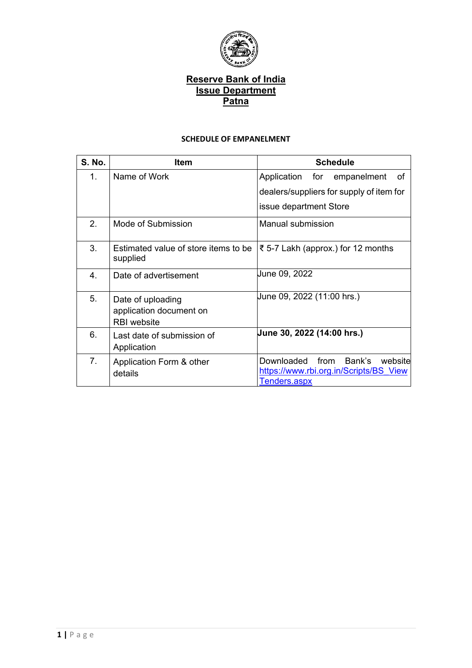

#### **SCHEDULE OF EMPANELMENT**

| <b>S. No.</b>    | <b>Item</b>                                                        | <b>Schedule</b>                                                                                   |  |  |  |  |
|------------------|--------------------------------------------------------------------|---------------------------------------------------------------------------------------------------|--|--|--|--|
| 1.               | Name of Work                                                       | for<br>Application<br>empanelment<br>οf                                                           |  |  |  |  |
|                  |                                                                    | dealers/suppliers for supply of item for                                                          |  |  |  |  |
|                  |                                                                    | issue department Store                                                                            |  |  |  |  |
| 2.               | Mode of Submission                                                 | Manual submission                                                                                 |  |  |  |  |
| 3.               | Estimated value of store items to be<br>supplied                   | ₹ 5-7 Lakh (approx.) for 12 months                                                                |  |  |  |  |
| 4.               | Date of advertisement                                              | June 09, 2022                                                                                     |  |  |  |  |
| 5.               | Date of uploading<br>application document on<br><b>RBI</b> website | June 09, 2022 (11:00 hrs.)                                                                        |  |  |  |  |
| 6.               | Last date of submission of<br>Application                          | June 30, 2022 (14:00 hrs.)                                                                        |  |  |  |  |
| $\overline{7}$ . | Application Form & other<br>details                                | Downloaded<br>from<br>Bank's<br>website<br>https://www.rbi.org.in/Scripts/BS View<br>Tenders.aspx |  |  |  |  |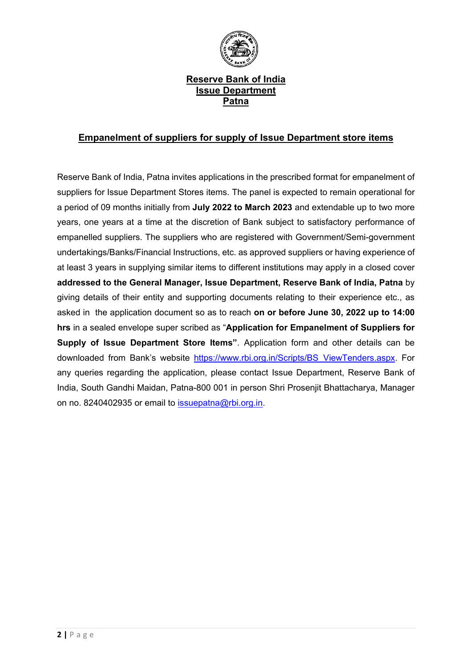

### **Empanelment of suppliers for supply of Issue Department store items**

Reserve Bank of India, Patna invites applications in the prescribed format for empanelment of suppliers for Issue Department Stores items. The panel is expected to remain operational for a period of 09 months initially from **July 2022 to March 2023** and extendable up to two more years, one years at a time at the discretion of Bank subject to satisfactory performance of empanelled suppliers. The suppliers who are registered with Government/Semi-government undertakings/Banks/Financial Instructions, etc. as approved suppliers or having experience of at least 3 years in supplying similar items to different institutions may apply in a closed cover **addressed to the General Manager, Issue Department, Reserve Bank of India, Patna** by giving details of their entity and supporting documents relating to their experience etc., as asked in the application document so as to reach **on or before June 30, 2022 up to 14:00 hrs** in a sealed envelope super scribed as "**Application for Empanelment of Suppliers for Supply of Issue Department Store Items"**. Application form and other details can be downloaded from Bank's website [https://www.rbi.org.in/Scripts/BS\\_ViewTenders.aspx.](https://www.rbi.org.in/Scripts/BS_ViewTenders.aspx) For any queries regarding the application, please contact Issue Department, Reserve Bank of India, South Gandhi Maidan, Patna-800 001 in person Shri Prosenjit Bhattacharya, Manager on no. 8240402935 or email to [issuepatna@rbi.org.in.](mailto:issuepatna@rbi.org.in)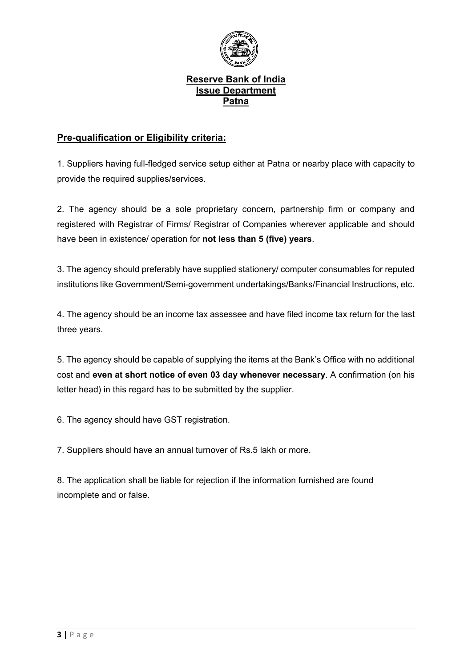

# **Pre-qualification or Eligibility criteria:**

1. Suppliers having full-fledged service setup either at Patna or nearby place with capacity to provide the required supplies/services.

2. The agency should be a sole proprietary concern, partnership firm or company and registered with Registrar of Firms/ Registrar of Companies wherever applicable and should have been in existence/ operation for **not less than 5 (five) years**.

3. The agency should preferably have supplied stationery/ computer consumables for reputed institutions like Government/Semi-government undertakings/Banks/Financial Instructions, etc.

4. The agency should be an income tax assessee and have filed income tax return for the last three years.

5. The agency should be capable of supplying the items at the Bank's Office with no additional cost and **even at short notice of even 03 day whenever necessary**. A confirmation (on his letter head) in this regard has to be submitted by the supplier.

6. The agency should have GST registration.

7. Suppliers should have an annual turnover of Rs.5 lakh or more.

8. The application shall be liable for rejection if the information furnished are found incomplete and or false.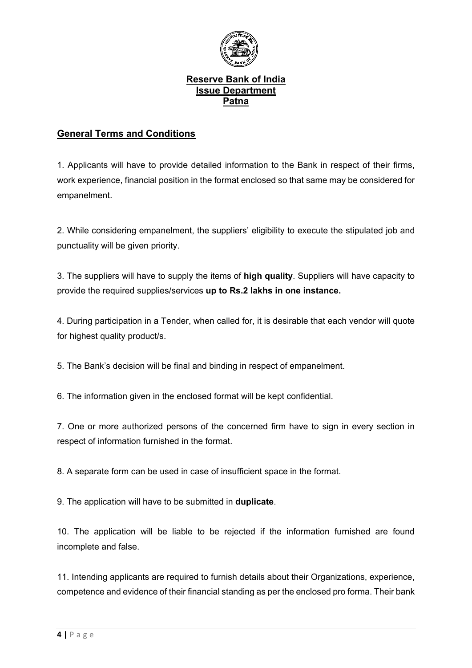

## **General Terms and Conditions**

1. Applicants will have to provide detailed information to the Bank in respect of their firms, work experience, financial position in the format enclosed so that same may be considered for empanelment.

2. While considering empanelment, the suppliers' eligibility to execute the stipulated job and punctuality will be given priority.

3. The suppliers will have to supply the items of **high quality**. Suppliers will have capacity to provide the required supplies/services **up to Rs.2 lakhs in one instance.**

4. During participation in a Tender, when called for, it is desirable that each vendor will quote for highest quality product/s.

5. The Bank's decision will be final and binding in respect of empanelment.

6. The information given in the enclosed format will be kept confidential.

7. One or more authorized persons of the concerned firm have to sign in every section in respect of information furnished in the format.

8. A separate form can be used in case of insufficient space in the format.

9. The application will have to be submitted in **duplicate**.

10. The application will be liable to be rejected if the information furnished are found incomplete and false.

11. Intending applicants are required to furnish details about their Organizations, experience, competence and evidence of their financial standing as per the enclosed pro forma. Their bank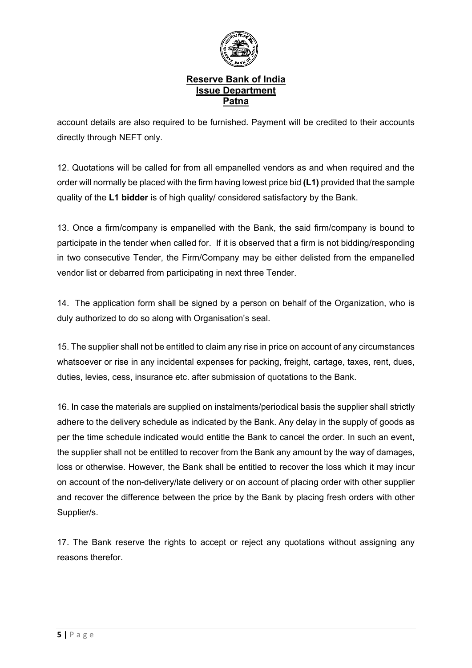

account details are also required to be furnished. Payment will be credited to their accounts directly through NEFT only.

12. Quotations will be called for from all empanelled vendors as and when required and the order will normally be placed with the firm having lowest price bid **(L1)** provided that the sample quality of the **L1 bidder** is of high quality/ considered satisfactory by the Bank.

13. Once a firm/company is empanelled with the Bank, the said firm/company is bound to participate in the tender when called for. If it is observed that a firm is not bidding/responding in two consecutive Tender, the Firm/Company may be either delisted from the empanelled vendor list or debarred from participating in next three Tender.

14. The application form shall be signed by a person on behalf of the Organization, who is duly authorized to do so along with Organisation's seal.

15. The supplier shall not be entitled to claim any rise in price on account of any circumstances whatsoever or rise in any incidental expenses for packing, freight, cartage, taxes, rent, dues, duties, levies, cess, insurance etc. after submission of quotations to the Bank.

16. In case the materials are supplied on instalments/periodical basis the supplier shall strictly adhere to the delivery schedule as indicated by the Bank. Any delay in the supply of goods as per the time schedule indicated would entitle the Bank to cancel the order. In such an event, the supplier shall not be entitled to recover from the Bank any amount by the way of damages, loss or otherwise. However, the Bank shall be entitled to recover the loss which it may incur on account of the non-delivery/late delivery or on account of placing order with other supplier and recover the difference between the price by the Bank by placing fresh orders with other Supplier/s.

17. The Bank reserve the rights to accept or reject any quotations without assigning any reasons therefor.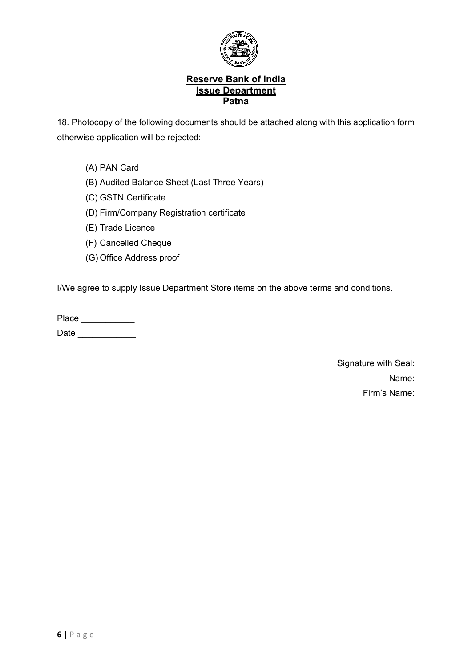

18. Photocopy of the following documents should be attached along with this application form otherwise application will be rejected:

- (A) PAN Card
- (B) Audited Balance Sheet (Last Three Years)
- (C) GSTN Certificate
- (D) Firm/Company Registration certificate
- (E) Trade Licence
- (F) Cancelled Cheque
- (G) Office Address proof

I/We agree to supply Issue Department Store items on the above terms and conditions.

Place \_\_\_\_\_\_\_\_\_\_\_\_\_\_ Date \_\_\_\_\_\_\_\_\_\_\_\_

.

Signature with Seal: Name: Firm's Name: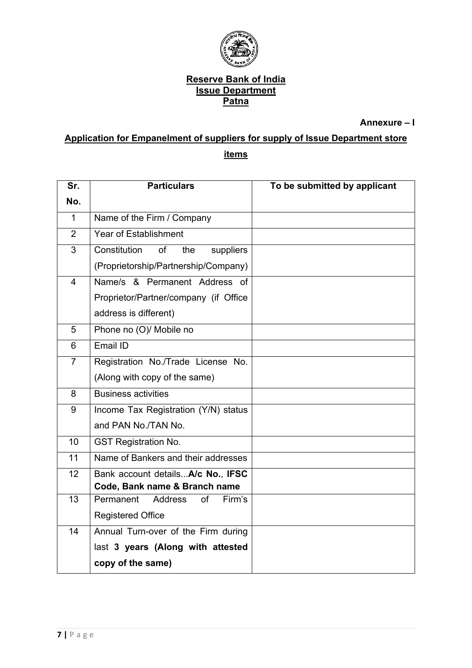

**Annexure – I** 

# **Application for Empanelment of suppliers for supply of Issue Department store items**

| Sr.             | <b>Particulars</b>                          | To be submitted by applicant |
|-----------------|---------------------------------------------|------------------------------|
| No.             |                                             |                              |
| $\mathbf{1}$    | Name of the Firm / Company                  |                              |
| $\overline{2}$  | <b>Year of Establishment</b>                |                              |
| 3               | Constitution<br>of<br>suppliers<br>the      |                              |
|                 | (Proprietorship/Partnership/Company)        |                              |
| $\overline{4}$  | Name/s & Permanent Address of               |                              |
|                 | Proprietor/Partner/company (if Office       |                              |
|                 | address is different)                       |                              |
| 5               | Phone no (O)/ Mobile no                     |                              |
| 6               | Email ID                                    |                              |
| $\overline{7}$  | Registration No./Trade License No.          |                              |
|                 | (Along with copy of the same)               |                              |
| 8               | <b>Business activities</b>                  |                              |
| 9               | Income Tax Registration (Y/N) status        |                              |
|                 | and PAN No./TAN No.                         |                              |
| 10 <sup>1</sup> | <b>GST Registration No.</b>                 |                              |
| $\overline{11}$ | Name of Bankers and their addresses         |                              |
| 12              | Bank account details A/c No., IFSC          |                              |
|                 | Code, Bank name & Branch name               |                              |
| 13              | Permanent<br><b>Address</b><br>of<br>Firm's |                              |
|                 | <b>Registered Office</b>                    |                              |
| 14              | Annual Turn-over of the Firm during         |                              |
|                 | last 3 years (Along with attested           |                              |
|                 | copy of the same)                           |                              |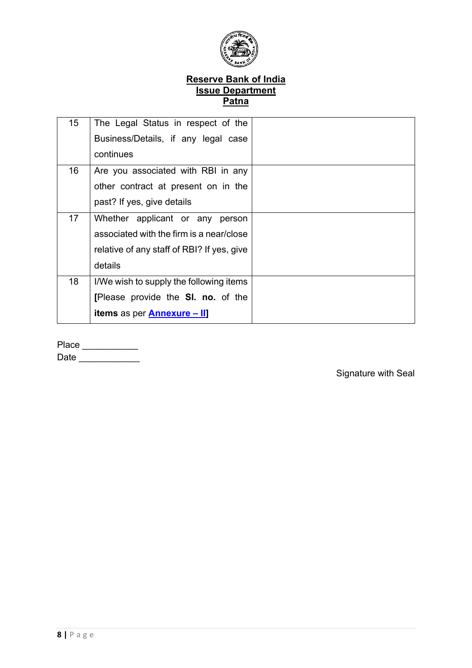

| 15 <sub>1</sub> | The Legal Status in respect of the         |  |
|-----------------|--------------------------------------------|--|
|                 | Business/Details, if any legal case        |  |
|                 | continues                                  |  |
| 16              | Are you associated with RBI in any         |  |
|                 | other contract at present on in the        |  |
|                 | past? If yes, give details                 |  |
| 17              | Whether applicant or any<br>person         |  |
|                 | associated with the firm is a near/close   |  |
|                 | relative of any staff of RBI? If yes, give |  |
|                 | details                                    |  |
| 18              | I/We wish to supply the following items    |  |
|                 | [Please provide the SI. no. of the         |  |
|                 | <b>items</b> as per <b>Annexure</b> - II]  |  |

|  | ∍⊥<br>laci |  |
|--|------------|--|
|--|------------|--|

Date  $\Box$ 

 $\mathbb{P}^1$  . The set of  $\mathbb{P}^1$ 

Signature with Seal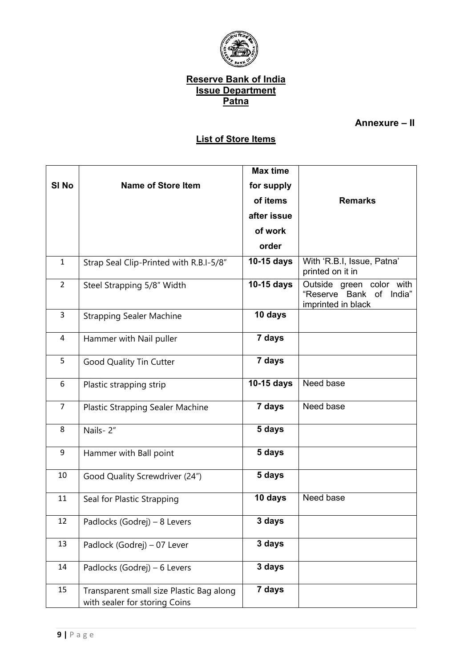

# **Annexure – II**

# **List of Store Items**

<span id="page-9-0"></span>

|                  |                                                                           | <b>Max time</b> |                                                                           |
|------------------|---------------------------------------------------------------------------|-----------------|---------------------------------------------------------------------------|
| SI <sub>No</sub> | <b>Name of Store Item</b>                                                 | for supply      |                                                                           |
|                  |                                                                           | of items        | <b>Remarks</b>                                                            |
|                  |                                                                           | after issue     |                                                                           |
|                  |                                                                           | of work         |                                                                           |
|                  |                                                                           | order           |                                                                           |
| $\mathbf{1}$     | Strap Seal Clip-Printed with R.B.I-5/8"                                   | 10-15 days      | With 'R.B.I, Issue, Patna'<br>printed on it in                            |
| $\overline{2}$   | Steel Strapping 5/8" Width                                                | 10-15 days      | Outside green color with<br>"Reserve Bank of India"<br>imprinted in black |
| 3                | <b>Strapping Sealer Machine</b>                                           | 10 days         |                                                                           |
| $\overline{4}$   | Hammer with Nail puller                                                   | 7 days          |                                                                           |
| 5                | Good Quality Tin Cutter                                                   | 7 days          |                                                                           |
| 6                | Plastic strapping strip                                                   | 10-15 days      | Need base                                                                 |
| $\overline{7}$   | Plastic Strapping Sealer Machine                                          | 7 days          | Need base                                                                 |
| 8                | Nails-2"                                                                  | 5 days          |                                                                           |
| 9                | Hammer with Ball point                                                    | 5 days          |                                                                           |
| 10               | Good Quality Screwdriver (24")                                            | 5 days          |                                                                           |
| 11               | Seal for Plastic Strapping                                                | 10 days         | Need base                                                                 |
| 12               | Padlocks (Godrej) – 8 Levers                                              | 3 days          |                                                                           |
| 13               | Padlock (Godrej) - 07 Lever                                               | 3 days          |                                                                           |
| 14               | Padlocks (Godrej) – 6 Levers                                              | 3 days          |                                                                           |
| 15               | Transparent small size Plastic Bag along<br>with sealer for storing Coins | 7 days          |                                                                           |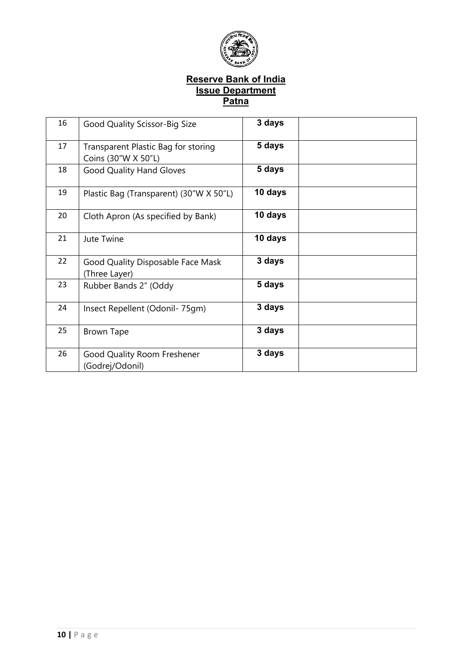

| 16 | Good Quality Scissor-Big Size                              | 3 days  |  |
|----|------------------------------------------------------------|---------|--|
| 17 | Transparent Plastic Bag for storing<br>Coins (30"W X 50"L) | 5 days  |  |
| 18 | <b>Good Quality Hand Gloves</b>                            | 5 days  |  |
| 19 | Plastic Bag (Transparent) (30"W X 50"L)                    | 10 days |  |
| 20 | Cloth Apron (As specified by Bank)                         | 10 days |  |
| 21 | Jute Twine                                                 | 10 days |  |
| 22 | Good Quality Disposable Face Mask<br>(Three Layer)         | 3 days  |  |
| 23 | Rubber Bands 2" (Oddy                                      | 5 days  |  |
| 24 | Insect Repellent (Odonil- 75qm)                            | 3 days  |  |
| 25 | <b>Brown Tape</b>                                          | 3 days  |  |
| 26 | Good Quality Room Freshener<br>(Godrej/Odonil)             | 3 days  |  |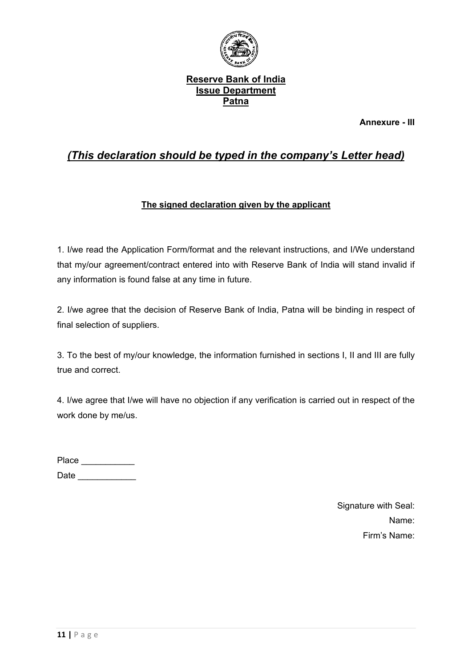

**Annexure - III**

# *(This declaration should be typed in the company's Letter head)*

# **The signed declaration given by the applicant**

1. I/we read the Application Form/format and the relevant instructions, and I/We understand that my/our agreement/contract entered into with Reserve Bank of India will stand invalid if any information is found false at any time in future.

2. I/we agree that the decision of Reserve Bank of India, Patna will be binding in respect of final selection of suppliers.

3. To the best of my/our knowledge, the information furnished in sections I, II and III are fully true and correct.

4. I/we agree that I/we will have no objection if any verification is carried out in respect of the work done by me/us.

| Place |  |
|-------|--|
| Date  |  |

Signature with Seal: Name: Firm's Name: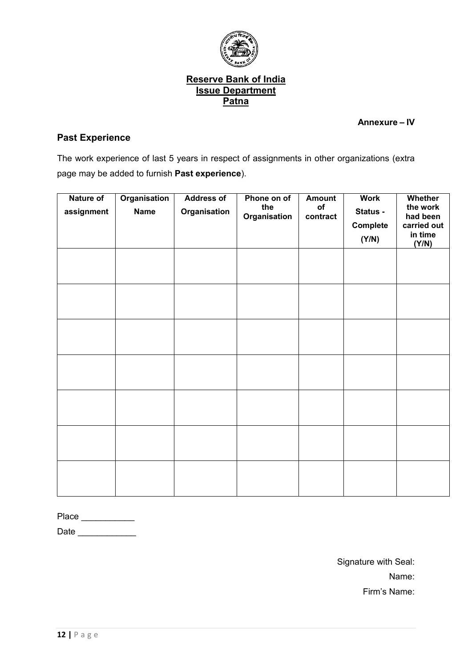

**Annexure – IV**

# **Past Experience**

The work experience of last 5 years in respect of assignments in other organizations (extra page may be added to furnish **Past experience**).

| <b>Nature of</b><br>assignment | <b>Organisation</b><br><b>Name</b> | <b>Address of</b><br>Organisation | Phone on of<br>the<br>Organisation | <b>Amount</b><br>of<br>contract | <b>Work</b><br>Status -<br>Complete<br>(Y/N) | Whether<br>the work<br>had been<br>carried out<br>in time<br>(Y/N) |
|--------------------------------|------------------------------------|-----------------------------------|------------------------------------|---------------------------------|----------------------------------------------|--------------------------------------------------------------------|
|                                |                                    |                                   |                                    |                                 |                                              |                                                                    |
|                                |                                    |                                   |                                    |                                 |                                              |                                                                    |
|                                |                                    |                                   |                                    |                                 |                                              |                                                                    |
|                                |                                    |                                   |                                    |                                 |                                              |                                                                    |
|                                |                                    |                                   |                                    |                                 |                                              |                                                                    |
|                                |                                    |                                   |                                    |                                 |                                              |                                                                    |
|                                |                                    |                                   |                                    |                                 |                                              |                                                                    |

Place \_\_\_\_\_\_\_\_\_\_\_\_\_\_\_

Date \_\_\_\_\_\_\_\_\_\_\_\_

Signature with Seal: Name: Firm's Name: